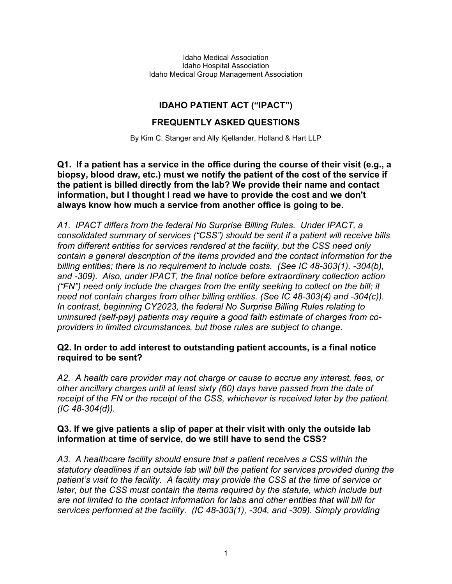Idaho Medical Association Idaho Hospital Association Idaho Medical Group Management Association

# **IDAHO PATIENT ACT ("IPACT")**

## **FREQUENTLY ASKED QUESTIONS**

By Kim C. Stanger and Ally Kjellander, Holland & Hart LLP

**Q1. If a patient has a service in the office during the course of their visit (e.g., a biopsy, blood draw, etc.) must we notify the patient of the cost of the service if the patient is billed directly from the lab? We provide their name and contact information, but I thought I read we have to provide the cost and we don't always know how much a service from another office is going to be.**

*A1. IPACT differs from the federal No Surprise Billing Rules. Under IPACT, a consolidated summary of services ("CSS") should be sent if a patient will receive bills from different entities for services rendered at the facility, but the CSS need only contain a general description of the items provided and the contact information for the billing entities; there is no requirement to include costs. (See IC 48-303(1), -304(b), and -309). Also, under IPACT, the final notice before extraordinary collection action ("FN") need only include the charges from the entity seeking to collect on the bill; it need not contain charges from other billing entities. (See IC 48-303(4) and -304(c)). In contrast, beginning CY2023, the federal No Surprise Billing Rules relating to uninsured (self-pay) patients may require a good faith estimate of charges from coproviders in limited circumstances, but those rules are subject to change.*

### **Q2. In order to add interest to outstanding patient accounts, is a final notice required to be sent?**

*A2. A health care provider may not charge or cause to accrue any interest, fees, or other ancillary charges until at least sixty (60) days have passed from the date of receipt of the FN or the receipt of the CSS, whichever is received later by the patient. (IC 48-304(d)).*

## **Q3. If we give patients a slip of paper at their visit with only the outside lab information at time of service, do we still have to send the CSS?**

*A3. A healthcare facility should ensure that a patient receives a CSS within the statutory deadlines if an outside lab will bill the patient for services provided during the patient's visit to the facility. A facility may provide the CSS at the time of service or later, but the CSS must contain the items required by the statute, which include but are not limited to the contact information for labs and other entities that will bill for services performed at the facility. (IC 48-303(1), -304, and -309). Simply providing*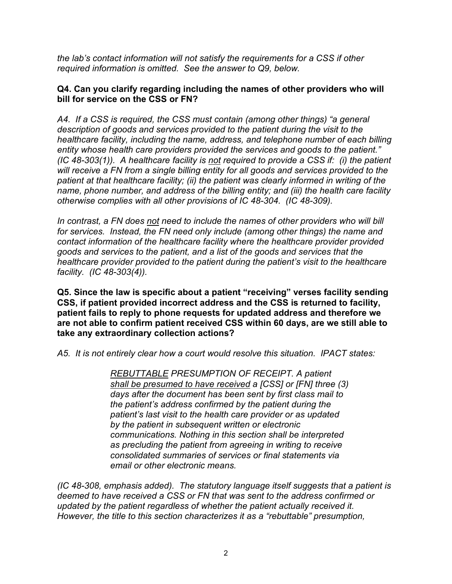*the lab's contact information will not satisfy the requirements for a CSS if other required information is omitted. See the answer to Q9, below.*

#### **Q4. Can you clarify regarding including the names of other providers who will bill for service on the CSS or FN?**

*A4. If a CSS is required, the CSS must contain (among other things) "a general description of goods and services provided to the patient during the visit to the healthcare facility, including the name, address, and telephone number of each billing entity whose health care providers provided the services and goods to the patient." (IC 48-303(1)). A healthcare facility is not required to provide a CSS if: (i) the patient will receive a FN from a single billing entity for all goods and services provided to the patient at that healthcare facility; (ii) the patient was clearly informed in writing of the name, phone number, and address of the billing entity; and (iii) the health care facility otherwise complies with all other provisions of IC 48-304. (IC 48-309).*

*In contrast, a FN does not need to include the names of other providers who will bill for services. Instead, the FN need only include (among other things) the name and contact information of the healthcare facility where the healthcare provider provided goods and services to the patient, and a list of the goods and services that the healthcare provider provided to the patient during the patient's visit to the healthcare facility. (IC 48-303(4)).*

**Q5. Since the law is specific about a patient "receiving" verses facility sending CSS, if patient provided incorrect address and the CSS is returned to facility, patient fails to reply to phone requests for updated address and therefore we are not able to confirm patient received CSS within 60 days, are we still able to take any extraordinary collection actions?** 

*A5. It is not entirely clear how a court would resolve this situation. IPACT states:*

*REBUTTABLE PRESUMPTION OF RECEIPT. A patient shall be presumed to have received a [CSS] or [FN] three (3) days after the document has been sent by first class mail to the patient's address confirmed by the patient during the patient's last visit to the health care provider or as updated by the patient in subsequent written or electronic communications. Nothing in this section shall be interpreted as precluding the patient from agreeing in writing to receive consolidated summaries of services or final statements via email or other electronic means.*

*(IC 48-308, emphasis added). The statutory language itself suggests that a patient is deemed to have received a CSS or FN that was sent to the address confirmed or updated by the patient regardless of whether the patient actually received it. However, the title to this section characterizes it as a "rebuttable" presumption,*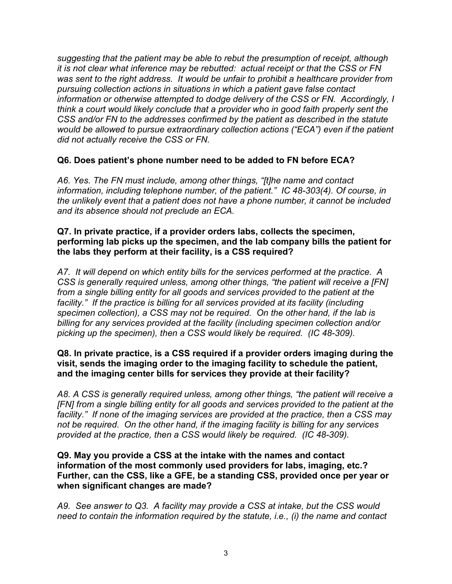*suggesting that the patient may be able to rebut the presumption of receipt, although it is not clear what inference may be rebutted: actual receipt or that the CSS or FN was sent to the right address. It would be unfair to prohibit a healthcare provider from pursuing collection actions in situations in which a patient gave false contact information or otherwise attempted to dodge delivery of the CSS or FN. Accordingly, I think a court would likely conclude that a provider who in good faith properly sent the CSS and/or FN to the addresses confirmed by the patient as described in the statute would be allowed to pursue extraordinary collection actions ("ECA") even if the patient did not actually receive the CSS or FN.*

## **Q6. Does patient's phone number need to be added to FN before ECA?**

*A6. Yes. The FN must include, among other things, "[t]he name and contact information, including telephone number, of the patient." IC 48-303(4). Of course, in the unlikely event that a patient does not have a phone number, it cannot be included and its absence should not preclude an ECA.*

### **Q7. In private practice, if a provider orders labs, collects the specimen, performing lab picks up the specimen, and the lab company bills the patient for the labs they perform at their facility, is a CSS required?**

*A7. It will depend on which entity bills for the services performed at the practice. A CSS is generally required unless, among other things, "the patient will receive a [FN]*  from a single billing entity for all goods and services provided to the patient at the facility." If the practice is billing for all services provided at its facility (including *specimen collection), a CSS may not be required. On the other hand, if the lab is billing for any services provided at the facility (including specimen collection and/or picking up the specimen), then a CSS would likely be required. (IC 48-309).*

#### **Q8. In private practice, is a CSS required if a provider orders imaging during the visit, sends the imaging order to the imaging facility to schedule the patient, and the imaging center bills for services they provide at their facility?**

*A8. A CSS is generally required unless, among other things, "the patient will receive a*  [FN] from a single billing entity for all goods and services provided to the patient at the *facility." If none of the imaging services are provided at the practice, then a CSS may not be required. On the other hand, if the imaging facility is billing for any services provided at the practice, then a CSS would likely be required. (IC 48-309).*

**Q9. May you provide a CSS at the intake with the names and contact information of the most commonly used providers for labs, imaging, etc.? Further, can the CSS, like a GFE, be a standing CSS, provided once per year or when significant changes are made?**

*A9. See answer to Q3. A facility may provide a CSS at intake, but the CSS would need to contain the information required by the statute, i.e., (i) the name and contact*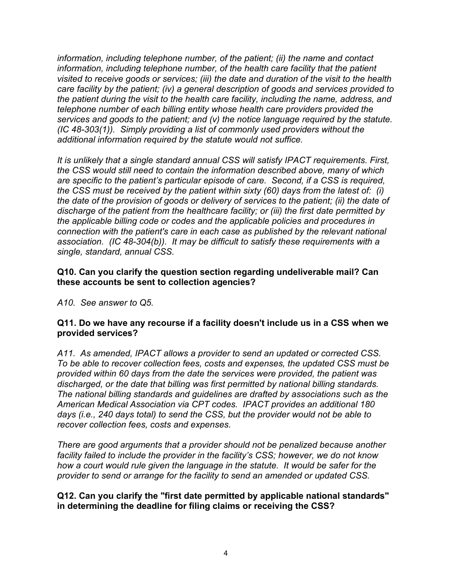*information, including telephone number, of the patient; (ii) the name and contact*  information, including telephone number, of the health care facility that the patient *visited to receive goods or services; (iii) the date and duration of the visit to the health care facility by the patient; (iv) a general description of goods and services provided to the patient during the visit to the health care facility, including the name, address, and telephone number of each billing entity whose health care providers provided the services and goods to the patient; and (v) the notice language required by the statute. (IC 48-303(1)). Simply providing a list of commonly used providers without the additional information required by the statute would not suffice.*

*It is unlikely that a single standard annual CSS will satisfy IPACT requirements. First, the CSS would still need to contain the information described above, many of which are specific to the patient's particular episode of care. Second, if a CSS is required, the CSS must be received by the patient within sixty (60) days from the latest of: (i) the date of the provision of goods or delivery of services to the patient; (ii) the date of discharge of the patient from the healthcare facility; or (iii) the first date permitted by the applicable billing code or codes and the applicable policies and procedures in connection with the patient's care in each case as published by the relevant national association. (IC 48-304(b)). It may be difficult to satisfy these requirements with a single, standard, annual CSS.*

### **Q10. Can you clarify the question section regarding undeliverable mail? Can these accounts be sent to collection agencies?**

*A10. See answer to Q5.*

## **Q11. Do we have any recourse if a facility doesn't include us in a CSS when we provided services?**

*A11. As amended, IPACT allows a provider to send an updated or corrected CSS. To be able to recover collection fees, costs and expenses, the updated CSS must be provided within 60 days from the date the services were provided, the patient was discharged, or the date that billing was first permitted by national billing standards. The national billing standards and guidelines are drafted by associations such as the American Medical Association via CPT codes. IPACT provides an additional 180 days (i.e., 240 days total) to send the CSS, but the provider would not be able to recover collection fees, costs and expenses.* 

*There are good arguments that a provider should not be penalized because another facility failed to include the provider in the facility's CSS; however, we do not know how a court would rule given the language in the statute. It would be safer for the provider to send or arrange for the facility to send an amended or updated CSS.*

## **Q12. Can you clarify the "first date permitted by applicable national standards" in determining the deadline for filing claims or receiving the CSS?**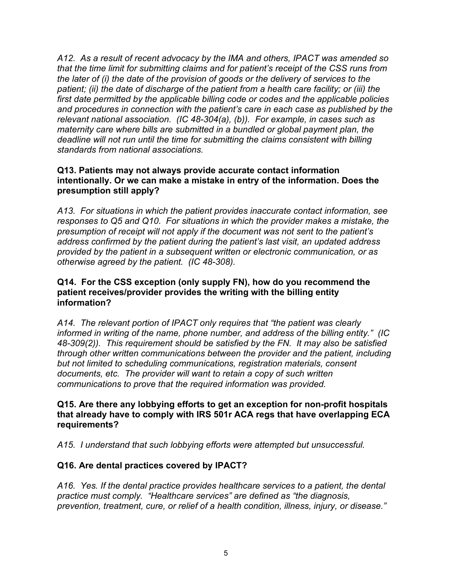*A12. As a result of recent advocacy by the IMA and others, IPACT was amended so that the time limit for submitting claims and for patient's receipt of the CSS runs from the later of (i) the date of the provision of goods or the delivery of services to the patient; (ii) the date of discharge of the patient from a health care facility; or (iii) the first date permitted by the applicable billing code or codes and the applicable policies and procedures in connection with the patient's care in each case as published by the relevant national association. (IC 48-304(a), (b)). For example, in cases such as maternity care where bills are submitted in a bundled or global payment plan, the deadline will not run until the time for submitting the claims consistent with billing standards from national associations.*

### **Q13. Patients may not always provide accurate contact information intentionally. Or we can make a mistake in entry of the information. Does the presumption still apply?**

*A13. For situations in which the patient provides inaccurate contact information, see responses to Q5 and Q10. For situations in which the provider makes a mistake, the presumption of receipt will not apply if the document was not sent to the patient's address confirmed by the patient during the patient's last visit, an updated address provided by the patient in a subsequent written or electronic communication, or as otherwise agreed by the patient. (IC 48-308).*

### **Q14. For the CSS exception (only supply FN), how do you recommend the patient receives/provider provides the writing with the billing entity information?**

*A14. The relevant portion of IPACT only requires that "the patient was clearly informed in writing of the name, phone number, and address of the billing entity." (IC 48-309(2)). This requirement should be satisfied by the FN. It may also be satisfied through other written communications between the provider and the patient, including but not limited to scheduling communications, registration materials, consent documents, etc. The provider will want to retain a copy of such written communications to prove that the required information was provided.*

**Q15. Are there any lobbying efforts to get an exception for non-profit hospitals that already have to comply with IRS 501r ACA regs that have overlapping ECA requirements?**

*A15. I understand that such lobbying efforts were attempted but unsuccessful.* 

# **Q16. Are dental practices covered by IPACT?**

*A16. Yes. If the dental practice provides healthcare services to a patient, the dental practice must comply. "Healthcare services" are defined as "the diagnosis, prevention, treatment, cure, or relief of a health condition, illness, injury, or disease."*